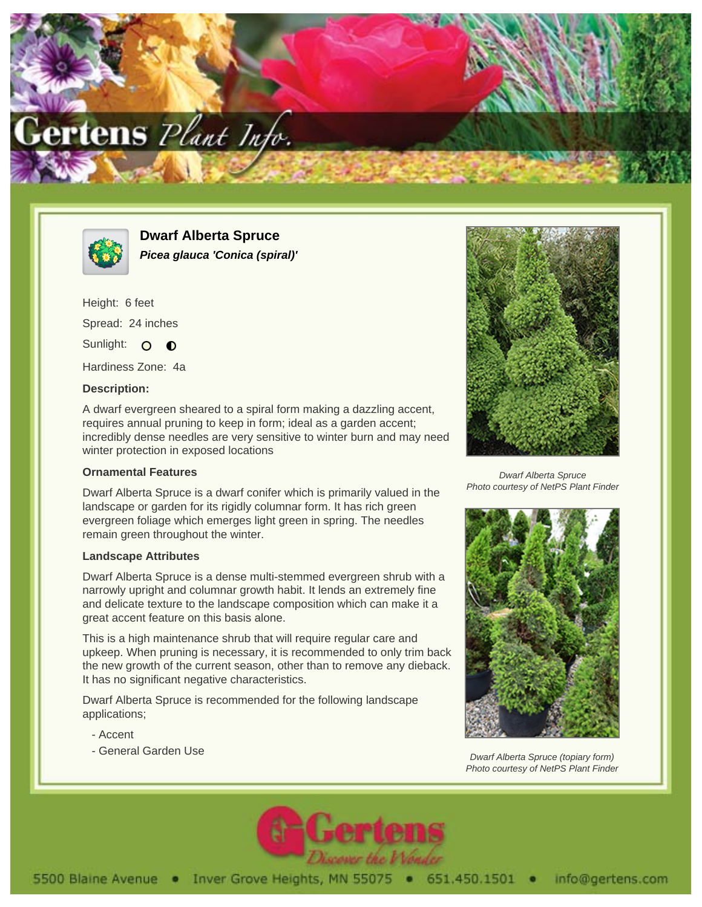



**Dwarf Alberta Spruce Picea glauca 'Conica (spiral)'**

Height: 6 feet Spread: 24 inches Sunlight: O O

Hardiness Zone: 4a

## **Description:**

A dwarf evergreen sheared to a spiral form making a dazzling accent, requires annual pruning to keep in form; ideal as a garden accent; incredibly dense needles are very sensitive to winter burn and may need winter protection in exposed locations

## **Ornamental Features**

Dwarf Alberta Spruce is a dwarf conifer which is primarily valued in the landscape or garden for its rigidly columnar form. It has rich green evergreen foliage which emerges light green in spring. The needles remain green throughout the winter.

## **Landscape Attributes**

Dwarf Alberta Spruce is a dense multi-stemmed evergreen shrub with a narrowly upright and columnar growth habit. It lends an extremely fine and delicate texture to the landscape composition which can make it a great accent feature on this basis alone.

This is a high maintenance shrub that will require regular care and upkeep. When pruning is necessary, it is recommended to only trim back the new growth of the current season, other than to remove any dieback. It has no significant negative characteristics.

Dwarf Alberta Spruce is recommended for the following landscape applications;

- Accent
- General Garden Use



Dwarf Alberta Spruce Photo courtesy of NetPS Plant Finder



Dwarf Alberta Spruce (topiary form) Photo courtesy of NetPS Plant Finder